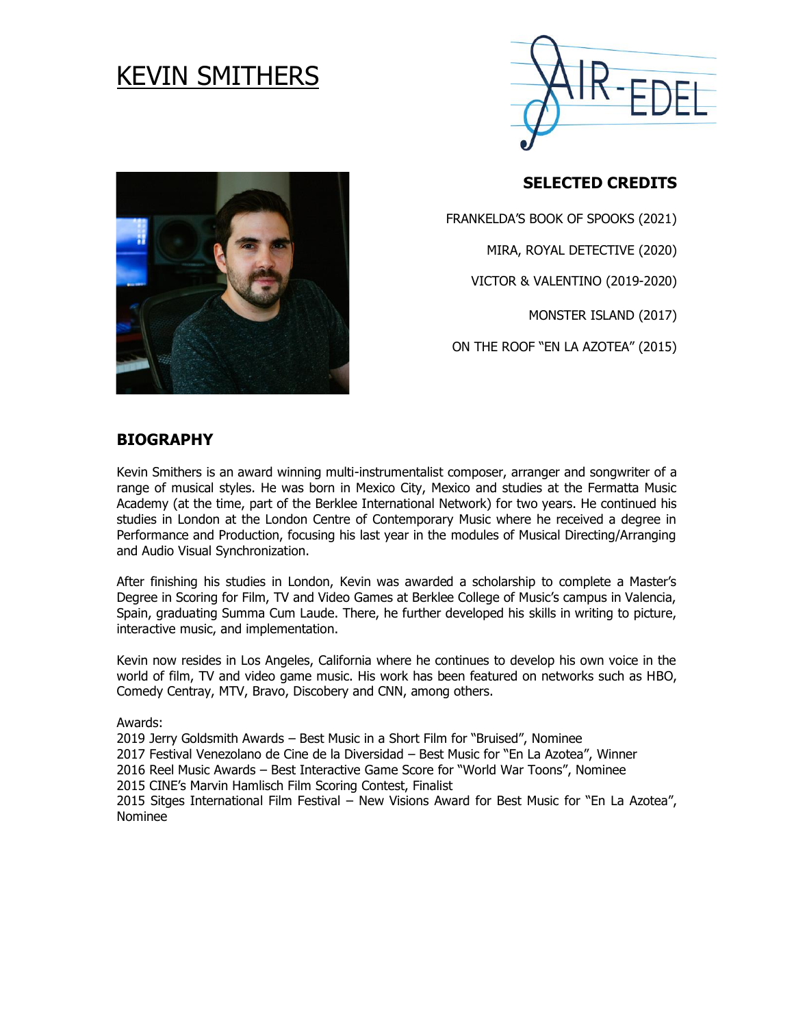# KEVIN SMITHERS



# **SELECTED CREDITS**

FRANKELDA'S BOOK OF SPOOKS (2021) MIRA, ROYAL DETECTIVE (2020) VICTOR & VALENTINO (2019-2020)

MONSTER ISLAND (2017)

ON THE ROOF "EN LA AZOTEA" (2015)

# **BIOGRAPHY**

Kevin Smithers is an award winning multi-instrumentalist composer, arranger and songwriter of a range of musical styles. He was born in Mexico City, Mexico and studies at the Fermatta Music Academy (at the time, part of the Berklee International Network) for two years. He continued his studies in London at the London Centre of Contemporary Music where he received a degree in Performance and Production, focusing his last year in the modules of Musical Directing/Arranging and Audio Visual Synchronization.

After finishing his studies in London, Kevin was awarded a scholarship to complete a Master's Degree in Scoring for Film, TV and Video Games at Berklee College of Music's campus in Valencia, Spain, graduating Summa Cum Laude. There, he further developed his skills in writing to picture, interactive music, and implementation.

Kevin now resides in Los Angeles, California where he continues to develop his own voice in the world of film, TV and video game music. His work has been featured on networks such as HBO, Comedy Centray, MTV, Bravo, Discobery and CNN, among others.

Awards:

2019 Jerry Goldsmith Awards – Best Music in a Short Film for "Bruised", Nominee

2017 Festival Venezolano de Cine de la Diversidad – Best Music for "En La Azotea", Winner

2016 Reel Music Awards – Best Interactive Game Score for "World War Toons", Nominee

2015 CINE's Marvin Hamlisch Film Scoring Contest, Finalist

2015 Sitges International Film Festival – New Visions Award for Best Music for "En La Azotea", Nominee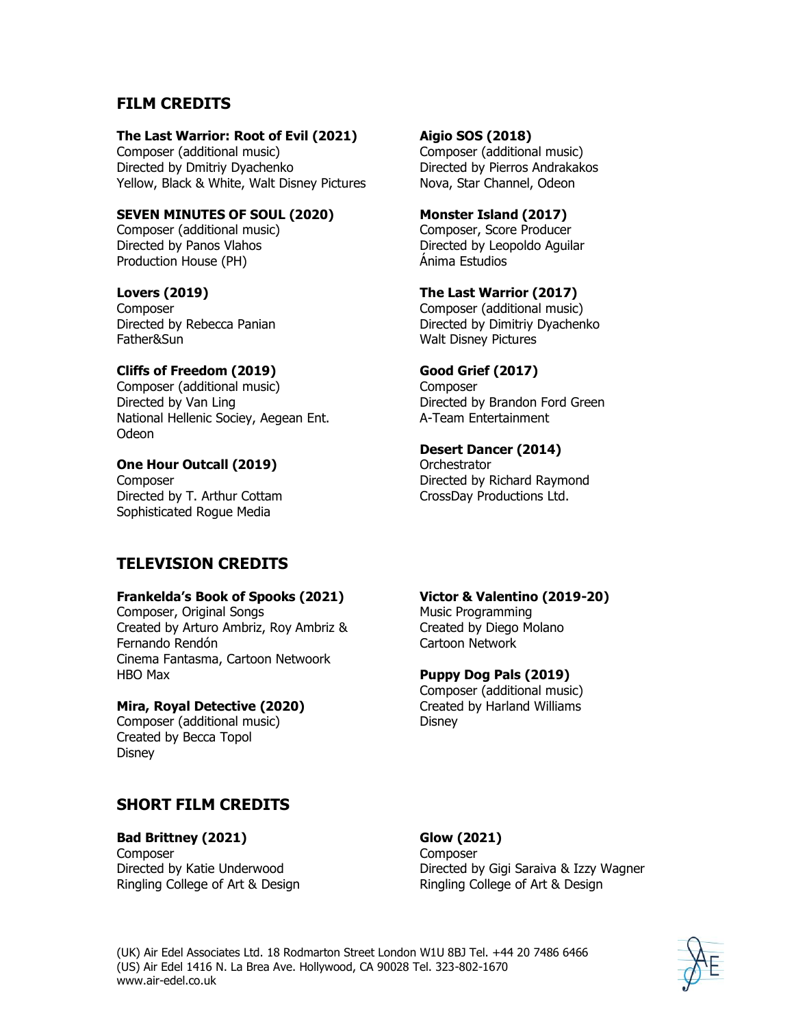# **FILM CREDITS**

#### **The Last Warrior: Root of Evil (2021)**

Composer (additional music) Directed by Dmitriy Dyachenko Yellow, Black & White, Walt Disney Pictures

**SEVEN MINUTES OF SOUL (2020)**

Composer (additional music) Directed by Panos Vlahos Production House (PH)

#### **Lovers (2019)**

**Composer** Directed by Rebecca Panian Father&Sun

#### **Cliffs of Freedom (2019)**

Composer (additional music) Directed by Van Ling National Hellenic Sociey, Aegean Ent. Odeon

#### **One Hour Outcall (2019)**

**Composer** Directed by T. Arthur Cottam Sophisticated Rogue Media

# **TELEVISION CREDITS**

#### **Frankelda's Book of Spooks (2021)**

Composer, Original Songs Created by Arturo Ambriz, Roy Ambriz & Fernando Rendón Cinema Fantasma, Cartoon Netwoork HBO Max

#### **Mira, Royal Detective (2020)**

Composer (additional music) Created by Becca Topol Disney

# **SHORT FILM CREDITS**

# **Bad Brittney (2021)**

**Composer** Directed by Katie Underwood Ringling College of Art & Design

#### **Aigio SOS (2018)**

Composer (additional music) Directed by Pierros Andrakakos Nova, Star Channel, Odeon

**Monster Island (2017)** Composer, Score Producer Directed by Leopoldo Aguilar Ánima Estudios

#### **The Last Warrior (2017)**

Composer (additional music) Directed by Dimitriy Dyachenko Walt Disney Pictures

#### **Good Grief (2017)**

Composer Directed by Brandon Ford Green A-Team Entertainment

#### **Desert Dancer (2014)**

**Orchestrator** Directed by Richard Raymond CrossDay Productions Ltd.

#### **Victor & Valentino (2019-20)** Music Programming

Created by Diego Molano Cartoon Network

#### **Puppy Dog Pals (2019)**

Composer (additional music) Created by Harland Williams Disney

#### **Glow (2021) Composer** Directed by Gigi Saraiva & Izzy Wagner Ringling College of Art & Design

(UK) Air Edel Associates Ltd. 18 Rodmarton Street London W1U 8BJ Tel. +44 20 7486 6466 (US) Air Edel 1416 N. La Brea Ave. Hollywood, CA 90028 Tel. 323-802-1670 www.air-edel.co.uk